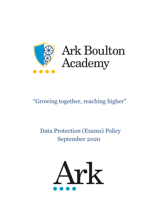

# **Ark Boulton** Academy

# "Growing together, reaching higher"

## Data Protection (Exams) Policy September 2020

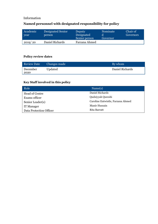#### Information

### **Named personnel with designated responsibility for policy**

| Academic<br>year | Designated Senior<br>person | Deputy<br>Designated<br>Senior person | Nominate<br>Governor | Chair of<br>Governors |
|------------------|-----------------------------|---------------------------------------|----------------------|-----------------------|
| 2019/20          | Daniel Richards             | Farzana Ahmed                         |                      |                       |

#### **Policy review dates**

| <b>Review Date</b> | Changes made | By whom         |
|--------------------|--------------|-----------------|
| December<br>2020   | Updated      | Daniel Richards |

## **Key Staff involved in this policy**

| Role                    | Name(s)                           |
|-------------------------|-----------------------------------|
| Head of Centre          | Daniel Richards                   |
| Exams officer           | Qudsiyyah Qureshi                 |
| Senior Leader(s)        | Caroline Entwistle, Farzana Ahmed |
| <b>IT Manager</b>       | Manir Hussain                     |
| Data Protection Officer | Rita Barratt                      |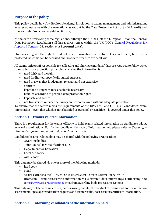#### **Purpose of the policy**

This policy details how Ark Boulton Academy, in relation to exams management and administration, ensures compliance with the regulations as set out by the Data Protection Act 2018 (DPA 2018) and General Data Protection Regulation (GDPR).

At the date of reviewing these regulations, although the UK has left the European Union the General Data Protection Regulation still has a direct effect within the UK (JCQ's [General Regulations for](https://www.jcq.org.uk/exams-office/general-regulations/)  [Approved Centres](https://www.jcq.org.uk/exams-office/general-regulations/) (GR, section 6.1) **Personal data**).

Students are given the right to find out what information the centre holds about them, how this is protected, how this can be accessed and how data breaches are dealt with.

All exams office staff responsible for collecting and sharing candidates' data are required to follow strict rules called 'data protection principles' ensuring the information is:

- used fairly and lawfully
- used for limited, specifically stated purposes
- used in a way that is adequate, relevant and not excessive
- accurate
- kept for no longer than is absolutely necessary
- handled according to people's data protection rights
- kept safe and secure
- not transferred outside the European Economic Area without adequate protection

To ensure that the centre meets the requirements of the DPA 2018 and GDPR, all candidates' exam information – even that which is not classified as personal or sensitive – is covered under this policy.

#### **Section 1 – Exams-related information**

There is a requirement for the exams office(r) to hold exams-related information on candidates taking external examinations. For further details on the type of information held please refer to *Section 5 – Candidate information, audit and protection measures*.

Candidates' exams-related data may be shared with the following organisations:

- Awarding bodies
- Joint Council for Qualifications (JCQ)
- Department for Education
- Local Authority
- Ark Schools

This data may be shared via one or more of the following methods:

- hard copy
- email
- secure extranet site(s) eAQA; OCR Interchange; Pearson Edexcel Online; WJEC
- Bromcom sending/receiving information via electronic data interchange (EDI) using A2C [\(https://www.jcq.org.uk/about-a2c\)](https://www.jcq.org.uk/about-a2c) to/from awarding body processing systems

This data may relate to exam entries, access arrangements, the conduct of exams and non-examination assessments, special consideration requests and exam results/post-results/certificate information.

#### **Section 2 – Informing candidates of the information held**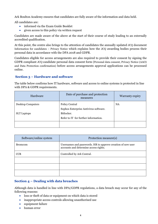Ark Boulton Academy ensures that candidates are fully aware of the information and data held.

All candidates are:

- informed via the Exam Guide Booklet
- given access to this policy via written request

Candidates are made aware of the above at the start of their course of study leading to an externally accredited qualification.

At this point, the centre also brings to the attention of candidates the annually updated JCQ document Information for candidates – Privacy Notice which explains how the JCQ awarding bodies process their personal data in accordance with the DPA 2018 and GDPR.

Candidates eligible for access arrangements are also required to provide their consent by signing the GDPR compliant JCQ candidate personal data consent form (Personal data consent, Privacy Notice (AAO) and Data Protection confirmation) before access arrangements approval applications can be processed online.

#### **Section 3 – Hardware and software**

The table below confirms how IT hardware, software and access to online systems is protected in line with DPA & GDPR requirements.

| Hardware                 | Date of purchase and protection<br>measures | Warranty expiry |
|--------------------------|---------------------------------------------|-----------------|
| <b>Desktop Computers</b> | Policy Central                              | NA              |
|                          | Sophos Enterprise Antivirus software.       |                 |
| <b>SLT</b> Laptops       | Bitlocker.                                  |                 |
|                          | Refer to IT for further information.        |                 |
|                          |                                             |                 |

| Software/online system | Protection measure(s)                                                                                |  |
|------------------------|------------------------------------------------------------------------------------------------------|--|
| <b>Bromcom</b>         | Usernames and passwords. HR to approve creation of new user<br>accounts and determine access rights. |  |
| <b>CCR</b>             | Controlled by Ark Central.                                                                           |  |
|                        |                                                                                                      |  |
|                        |                                                                                                      |  |
|                        |                                                                                                      |  |

#### **Section 4 – Dealing with data breaches**

Although data is handled in line with DPA/GDPR regulations, a data breach may occur for any of the following reasons:

- loss or theft of data or equipment on which data is stored
- inappropriate access controls allowing unauthorised use
- equipment failure
- human error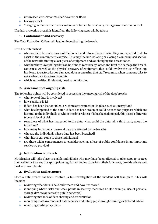- unforeseen circumstances such as a fire or flood
- hacking attack
- 'blagging' offences where information is obtained by deceiving the organisation who holds it

If a data protection breach is identified, the following steps will be taken:

#### **1. Containment and recovery**

The Data Protection Officer will lead on investigating the breach.

It will be established:

- who needs to be made aware of the breach and inform them of what they are expected to do to assist in the containment exercise. This may include isolating or closing a compromised section of the network, finding a lost piece of equipment and/or changing the access codes
- whether there is anything that can be done to recover any losses and limit the damage the breach can cause. As well as the physical recovery of equipment, this could involve the use of back-up hardware to restore lost or damaged data or ensuring that staff recognise when someone tries to use stolen data to access accounts
- which authorities, if relevant, need to be informed

#### **2. Assessment of ongoing risk**

The following points will be considered in assessing the ongoing risk of the data breach:

- what type of data is involved?
- how sensitive is it?
- if data has been lost or stolen, are there any protections in place such as encryption?
- what has happened to the data? If data has been stolen, it could be used for purposes which are harmful to the individuals to whom the data relates; if it has been damaged, this poses a different type and level of risk
- regardless of what has happened to the data, what could the data tell a third party about the individual?
- how many individuals' personal data are affected by the breach?
- who are the individuals whose data has been breached?
- what harm can come to those individuals?
- are there wider consequences to consider such as a loss of public confidence in an important service we provide?

#### **3. Notification of breach**

Notification will take place to enable individuals who may have been affected to take steps to protect themselves or to allow the appropriate regulatory bodies to perform their functions, provide advice and deal with complaints.

#### **4. Evaluation and response**

Once a data breach has been resolved, a full investigation of the incident will take place. This will include:

- reviewing what data is held and where and how it is stored
- identifying where risks and weak points in security measures lie (for example, use of portable storage devices or access to public networks)
- reviewing methods of data sharing and transmission
- increasing staff awareness of data security and filling gaps through training or tailored advice
- reviewing contingency plans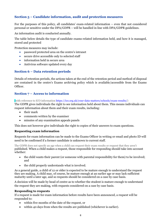#### **Section 5 – Candidate information, audit and protection measures**

For the purposes of this policy, all candidates' exam-related information – even that not considered personal or sensitive under the DPA/GDPR – will be handled in line with DPA/GDPR guidelines.

An information audit is conducted annually.

The table below details the type of candidate exams-related information held, and how it is managed, stored and protected

Protection measures may include:

- password protected area on the centre's intranet
- secure drive accessible only to selected staff
- information held in secure area
- Antivirus software updated every day

#### **Section 6 – Data retention periods**

Details of retention periods, the actions taken at the end of the retention period and method of disposal are contained in the centre's Exams archiving policy which is available/accessible from the Exams Officer.

#### **Section 7 – Access to information**

(with reference to ICO information [https://ico.org.uk/your-data-matters/schools/exam-results/\)](https://ico.org.uk/your-data-matters/schools/exam-results/)

The GDPR gives individuals the right to see information held about them. This means individuals can request information about them and their exam results, including:

- their mark
- comments written by the examiner
- minutes of any examination appeals panels

This does not however give individuals the right to copies of their answers to exam questions.

#### **Requesting exam information**

Requests for exam information can be made to the Exams Officer in writing or email and photo ID will need to be confirmed if a former candidate is unknown to current staff.

The GDPR does not specify an age when a child can request their exam results or request that they aren't published. When a child makes a request, those responsible for responding should take into account whether:

- the child wants their parent (or someone with parental responsibility for them) to be involved; and
- the child properly understands what is involved.

As a general guide, a child of 12 or older is expected to be mature enough to understand the request they are making. A child may, of course, be mature enough at an earlier age or may lack sufficient maturity until a later age, and so requests should be considered on a case by case basis.

A decision will be made by head of centre as to whether the student is mature enough to understand the request they are making, with requests considered on a case by case basis.

#### **Responding to requests**

If a request is made for exam information before results have been announced, a request will be responded to:

- within five months of the date of the request, or
- within 40 days from when the results are published (whichever is earlier).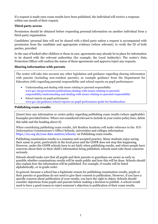If a request is made once exam results have been published, the individual will receive a response within one month of their request.

#### **Third party access**

Permission should be obtained before requesting personal information on another individual from a third-party organisation.

Candidates' personal data will not be shared with a third party unless a request is accompanied with permission from the candidate and appropriate evidence (where relevant), to verify the ID of both parties, provided.

In the case of looked-after children or those in care, agreements may already be in place for information to be shared with the relevant authorities (for example, the Local Authority). The centre's Data Protection Officer will confirm the status of these agreements and approve/reject any requests.

#### **Sharing information with parents**

The centre will take into account any other legislation and guidance regarding sharing information with parents (including non-resident parents), as example guidance from the Department for Education (DfE) regarding parental responsibility and school reports on pupil performance:

- Understanding and dealing with issues relating to parental responsibility [www.gov.uk/government/publications/dealing-with-issues-relating-to-parental](https://www.gov.uk/government/publications/dealing-with-issues-relating-to-parental-responsibility/understanding-and-dealing-with-issues-relating-to-parental-responsibility)[responsibility/understanding-and-dealing-with-issues-relating-to-parental-responsibility](https://www.gov.uk/government/publications/dealing-with-issues-relating-to-parental-responsibility/understanding-and-dealing-with-issues-relating-to-parental-responsibility)
- School reports on pupil performance [www.gov.uk/guidance/school-reports-on-pupil-performance-guide-for-headteachers](http://www.gov.uk/guidance/school-reports-on-pupil-performance-guide-for-headteachers)

#### **Publishing exam results**

[Insert here any information or centre policy regarding publishing exam results (where applicable). Examples provided below. Where not considered relevant to include in your centre policy here, delete this table and the heading above it]

When considering publishing exam results, Ark Boulton Academy will make reference to the ICO (Information Commissioner's Office) Schools, universities and colleges information <https://ico.org.uk/your-data-matters/schools/> on Publishing exam results.

Publishing examination results is a common and accepted practice. Many students enjoy seeing their name in print, particularly in the local press and the GDPR does not stop this happening. However, under the GDPR schools have to act fairly when publishing results, and where people have concerns about their or their child's information being published, schools must take those concerns seriously.

Schools should make sure that all pupils and their parents or guardians are aware as early as possible whether examinations results will be made public and how this will be done. Schools should also explain how the information will be published. For example, if results will be listed alphabetically, or in grade order.

In general, because a school has a legitimate reason for publishing examination results, pupils or their parents or guardians do not need to give their consent to publication. However, if you have a specific concern about publication of your results, you have the right to object. Schools should consider objections from pupils and parents before making a decision to publish. A school would need to have a good reason to reject someone's objection to publication of their exam results.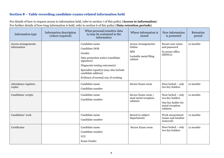#### **Section 8 – Table recording candidate exams-related information held**

For details of how to request access to information held, refer to section 7 of this policy (**Access to information**) For further details of how long information is held, refer to section 6 of this policy (**Data retention periods**)

| Information type                   | Information description<br>(where required) | What personal/sensitive data<br>is/may be contained in the<br>information                                                                                                                                                          | Where information is<br>stored                                                         | How information<br>is protected                                                            | Retention<br>period |
|------------------------------------|---------------------------------------------|------------------------------------------------------------------------------------------------------------------------------------------------------------------------------------------------------------------------------------|----------------------------------------------------------------------------------------|--------------------------------------------------------------------------------------------|---------------------|
| Access arrangements<br>information |                                             | Candidate name<br>Candidate DOB<br>Gender<br>Data protection notice (candidate<br>signature)<br>Diagnostic testing outcome(s)<br>Specialist report(s) (may also include<br>candidate address)<br>Evidence of normal way of working | <b>Access Arrangements</b><br>Online<br><b>MIS</b><br>Lockable metal filing<br>cabinet | Secure user name<br>and password<br>In secure office<br>(SENCo)                            | 12 months           |
| Attendance registers<br>copies     |                                             | Candidate name<br>Candidate number                                                                                                                                                                                                 | Secure Exam room                                                                       | Door locked - only<br>two key holders                                                      | 12 months           |
| Candidates' scripts                |                                             | Candidate name<br>Candidate number                                                                                                                                                                                                 | Secure Exam room /<br>steal metal reception<br>cabinets                                | Door locked - only<br>two key holders<br>One key holder for<br>metal reception<br>cabinets | 12 months           |
| Candidates' work                   |                                             | Candidate name<br>Candidate number                                                                                                                                                                                                 | Stored in subject<br>departments                                                       | Work anonymised<br>(name and number<br>removed)                                            | 12 months           |
| Certificates                       |                                             | Candidate name<br>Candidate number<br><b>UCI</b><br><b>Exam Grades</b>                                                                                                                                                             | Secure Exam room                                                                       | Door locked - only<br>two key holders                                                      | 12 months           |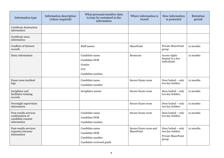| Information type                                                              | Information description<br>(where required) | What personal/sensitive data<br>is/may be contained in the<br>information              | Where information is<br>stored     | How information<br>is protected                                      | Retention<br>period |
|-------------------------------------------------------------------------------|---------------------------------------------|----------------------------------------------------------------------------------------|------------------------------------|----------------------------------------------------------------------|---------------------|
| Certificate destruction<br>information                                        |                                             |                                                                                        |                                    |                                                                      |                     |
| Certificate issue<br>information                                              |                                             |                                                                                        |                                    |                                                                      |                     |
| Conflicts of Interest<br>records                                              |                                             | Staff names                                                                            | SharePoint                         | Private SharePoint<br>group                                          | 12 months           |
| Entry information                                                             |                                             | Candidate name<br><b>Candidate DOB</b><br>Gender<br><b>UCI</b><br>Candidate number     | <b>Bromcom</b>                     | Access rights<br>limited to a few<br>individuals.                    | 12 months           |
| Exam room incident<br>logs                                                    |                                             | Candidate name<br>Candidate number                                                     | Secure Exam room                   | Door locked - only<br>two key holders                                | 12 months           |
| Invigilator and<br>facilitator training<br>records                            |                                             | Invigilator names                                                                      | Secure Exam room                   | Door locked - only<br>two key holders                                | 12 months           |
| Overnight supervision<br>information                                          |                                             |                                                                                        | Secure Exam room                   | Door locked - only<br>two key holders                                | 12 months           |
| Post-results services:<br>confirmation of<br>candidate consent<br>information |                                             | Candidate name<br><b>Candidate DOB</b><br>Candidate number                             | Secure Exam room                   | Door locked - only<br>two key holders                                | 12 months           |
| Post-results services:<br>requests/outcome<br>information                     |                                             | Candidate name<br><b>Candidate DOB</b><br>Candidate number<br>Candidate reviewed grade | Secure Exam room and<br>SharePoint | Door locked - only<br>two key holders<br>Private SharePoint<br>group | 12 months           |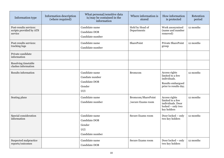| Information type                                             | Information description<br>(where required) | What personal/sensitive data<br>is/may be contained in the<br>information   | Where information is<br>stored           | How information<br>is protected                                                                 | Retention<br>period |
|--------------------------------------------------------------|---------------------------------------------|-----------------------------------------------------------------------------|------------------------------------------|-------------------------------------------------------------------------------------------------|---------------------|
| Post-results services:<br>scripts provided by ATS<br>service |                                             | Candidate name<br>Candidate DOB<br>Candidate number                         | Held by Head of<br>Departments           | Work anonymised<br>(name and number<br>removed)                                                 | 12 months           |
| Post-results services:<br>tracking logs                      |                                             | Candidate name<br>Candidate number                                          | SharePoint                               | Private SharePoint<br>group                                                                     | 12 months           |
| Private candidate<br>information                             |                                             |                                                                             |                                          |                                                                                                 |                     |
| Resolving timetable<br>clashes information                   |                                             |                                                                             |                                          |                                                                                                 |                     |
| <b>Results information</b>                                   |                                             | Candidate name<br>Candiate number<br>Candidate DOB<br>Gender<br><b>UCI</b>  | <b>Bromcom</b>                           | Access rights<br>limited to a few<br>individuals.<br>Results embargoed<br>prior to results day. | 12 months           |
| Seating plans                                                |                                             | Candidate name<br>Candidate number                                          | Bromcom/SharePoint<br>/secure Exams room | Access rights<br>limited to a few<br>individuals. Door<br>locked - only two<br>key holders      | 12 months           |
| Special consideration<br>information                         |                                             | Candidate name<br>Candidate DOB<br>Gender<br><b>UCI</b><br>Candidate number | Secure Exams room                        | Door locked - only<br>two key holders                                                           | 12 months           |
| Suspected malpractice<br>reports/outcomes                    |                                             | Candidate name<br>Candidate DOB                                             | Secure Exams room                        | Door locked - only<br>two key holders                                                           | 12 months           |